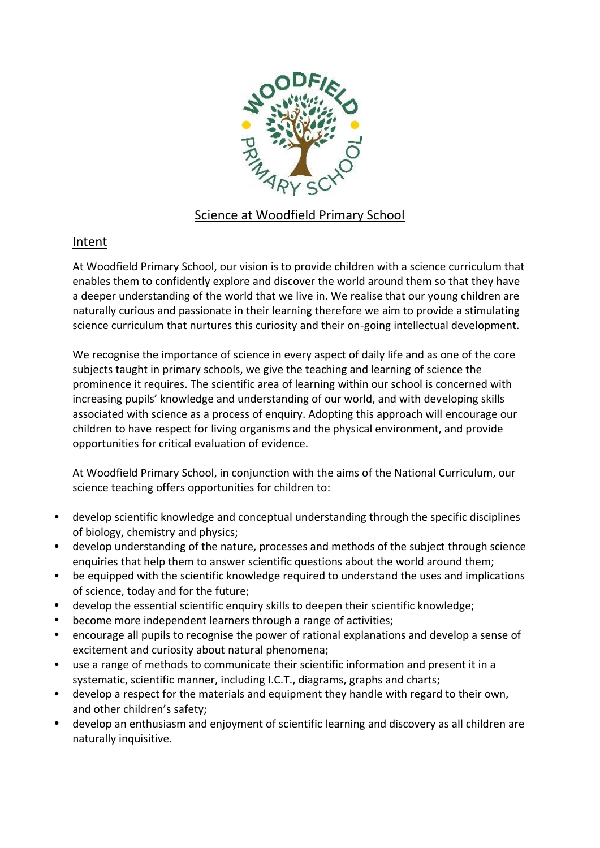

## Science at Woodfield Primary School

## Intent

At Woodfield Primary School, our vision is to provide children with a science curriculum that enables them to confidently explore and discover the world around them so that they have a deeper understanding of the world that we live in. We realise that our young children are naturally curious and passionate in their learning therefore we aim to provide a stimulating science curriculum that nurtures this curiosity and their on-going intellectual development.

We recognise the importance of science in every aspect of daily life and as one of the core subjects taught in primary schools, we give the teaching and learning of science the prominence it requires. The scientific area of learning within our school is concerned with increasing pupils' knowledge and understanding of our world, and with developing skills associated with science as a process of enquiry. Adopting this approach will encourage our children to have respect for living organisms and the physical environment, and provide opportunities for critical evaluation of evidence.

At Woodfield Primary School, in conjunction with the aims of the National Curriculum, our science teaching offers opportunities for children to:

- develop scientific knowledge and conceptual understanding through the specific disciplines of biology, chemistry and physics;
- develop understanding of the nature, processes and methods of the subject through science enquiries that help them to answer scientific questions about the world around them;
- be equipped with the scientific knowledge required to understand the uses and implications of science, today and for the future;
- develop the essential scientific enquiry skills to deepen their scientific knowledge;
- become more independent learners through a range of activities;
- encourage all pupils to recognise the power of rational explanations and develop a sense of excitement and curiosity about natural phenomena;
- use a range of methods to communicate their scientific information and present it in a systematic, scientific manner, including I.C.T., diagrams, graphs and charts;
- develop a respect for the materials and equipment they handle with regard to their own, and other children's safety;
- develop an enthusiasm and enjoyment of scientific learning and discovery as all children are naturally inquisitive.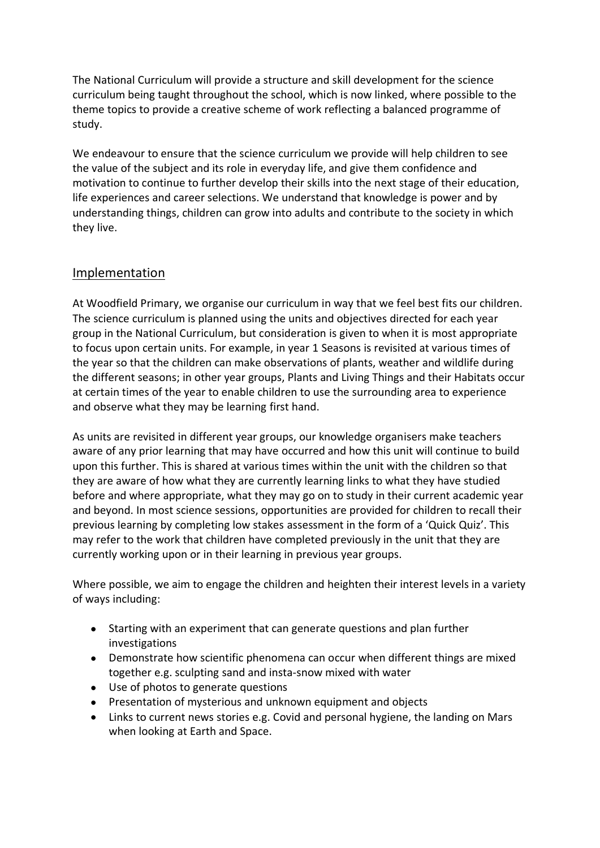The National Curriculum will provide a structure and skill development for the science curriculum being taught throughout the school, which is now linked, where possible to the theme topics to provide a creative scheme of work reflecting a balanced programme of study.

We endeavour to ensure that the science curriculum we provide will help children to see the value of the subject and its role in everyday life, and give them confidence and motivation to continue to further develop their skills into the next stage of their education, life experiences and career selections. We understand that knowledge is power and by understanding things, children can grow into adults and contribute to the society in which they live.

## Implementation

At Woodfield Primary, we organise our curriculum in way that we feel best fits our children. The science curriculum is planned using the units and objectives directed for each year group in the National Curriculum, but consideration is given to when it is most appropriate to focus upon certain units. For example, in year 1 Seasons is revisited at various times of the year so that the children can make observations of plants, weather and wildlife during the different seasons; in other year groups, Plants and Living Things and their Habitats occur at certain times of the year to enable children to use the surrounding area to experience and observe what they may be learning first hand.

As units are revisited in different year groups, our knowledge organisers make teachers aware of any prior learning that may have occurred and how this unit will continue to build upon this further. This is shared at various times within the unit with the children so that they are aware of how what they are currently learning links to what they have studied before and where appropriate, what they may go on to study in their current academic year and beyond. In most science sessions, opportunities are provided for children to recall their previous learning by completing low stakes assessment in the form of a 'Quick Quiz'. This may refer to the work that children have completed previously in the unit that they are currently working upon or in their learning in previous year groups.

Where possible, we aim to engage the children and heighten their interest levels in a variety of ways including:

- Starting with an experiment that can generate questions and plan further investigations
- Demonstrate how scientific phenomena can occur when different things are mixed together e.g. sculpting sand and insta-snow mixed with water
- Use of photos to generate questions
- Presentation of mysterious and unknown equipment and objects
- Links to current news stories e.g. Covid and personal hygiene, the landing on Mars when looking at Earth and Space.